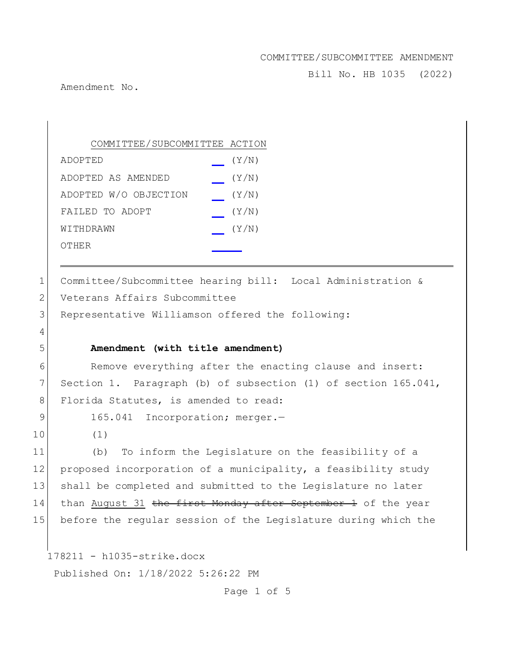Bill No. HB 1035 (2022)

Amendment No.

COMMITTEE/SUBCOMMITTEE ACTION ADOPTED (Y/N) ADOPTED AS AMENDED (Y/N) ADOPTED W/O OBJECTION (Y/N) FAILED TO ADOPT  $(Y/N)$  $W1$ THDRAWN  $(Y/N)$ OTHER

1 Committee/Subcommittee hearing bill: Local Administration & 2 Veterans Affairs Subcommittee 3 Representative Williamson offered the following:

#### 5 **Amendment (with title amendment)**

6 Remove everything after the enacting clause and insert: 7 Section 1. Paragraph (b) of subsection (1) of section 165.041, 8 Florida Statutes, is amended to read:

9 165.041 Incorporation; merger.-

10 (1)

4

11 (b) To inform the Legislature on the feasibility of a 12 proposed incorporation of a municipality, a feasibility study 13 shall be completed and submitted to the Legislature no later 14 than August 31 the first Monday after September 1 of the year 15 before the regular session of the Legislature during which the

178211 - h1035-strike.docx

Published On: 1/18/2022 5:26:22 PM

Page 1 of 5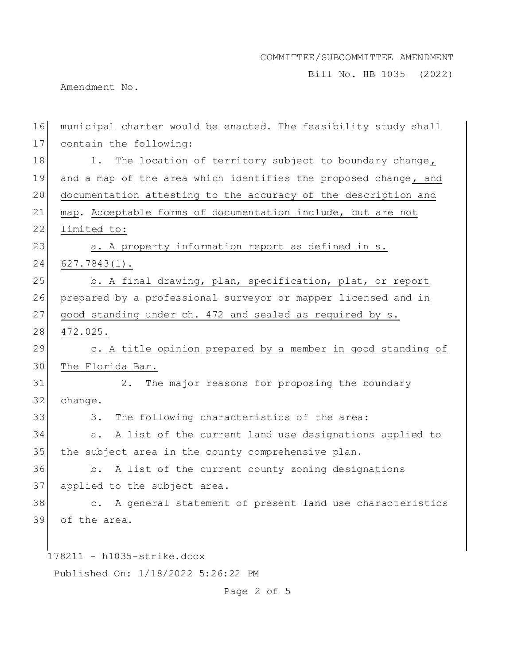Bill No. HB 1035 (2022)

Amendment No.

| 16 | municipal charter would be enacted. The feasibility study shall |
|----|-----------------------------------------------------------------|
| 17 | contain the following:                                          |
| 18 | The location of territory subject to boundary change,<br>1.     |
| 19 | and a map of the area which identifies the proposed change, and |
| 20 | documentation attesting to the accuracy of the description and  |
| 21 | map. Acceptable forms of documentation include, but are not     |
| 22 | limited to:                                                     |
| 23 | a. A property information report as defined in s.               |
| 24 | $627.7843(1)$ .                                                 |
| 25 | b. A final drawing, plan, specification, plat, or report        |
| 26 | prepared by a professional surveyor or mapper licensed and in   |
| 27 | good standing under ch. 472 and sealed as required by s.        |
| 28 | 472.025.                                                        |
| 29 | c. A title opinion prepared by a member in good standing of     |
| 30 | The Florida Bar.                                                |
| 31 | The major reasons for proposing the boundary<br>2.              |
| 32 | change.                                                         |
| 33 | The following characteristics of the area:<br>3.                |
| 34 | A list of the current land use designations applied to<br>а.    |
| 35 | the subject area in the county comprehensive plan.              |
| 36 | b. A list of the current county zoning designations             |
| 37 | applied to the subject area.                                    |
| 38 | c. A general statement of present land use characteristics      |
| 39 | of the area.                                                    |
|    |                                                                 |
|    | $178211 - h1035 - strike.docx$                                  |
|    | Published On: 1/18/2022 5:26:22 PM                              |

Page 2 of 5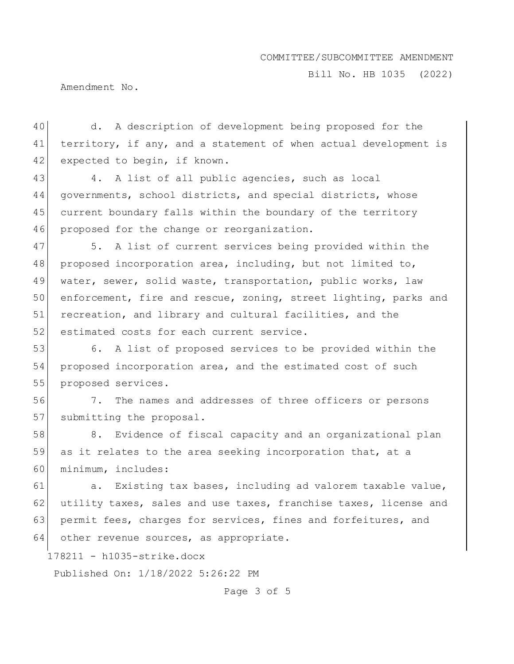Bill No. HB 1035 (2022)

Amendment No.

40 d. A description of development being proposed for the 41 territory, if any, and a statement of when actual development is 42 expected to begin, if known.

43 4. A list of all public agencies, such as local 44 governments, school districts, and special districts, whose 45 current boundary falls within the boundary of the territory 46 proposed for the change or reorganization.

47 5. A list of current services being provided within the 48 proposed incorporation area, including, but not limited to, 49 water, sewer, solid waste, transportation, public works, law 50 enforcement, fire and rescue, zoning, street lighting, parks and 51 recreation, and library and cultural facilities, and the 52 estimated costs for each current service.

53 6. A list of proposed services to be provided within the 54 proposed incorporation area, and the estimated cost of such 55 proposed services.

56 7. The names and addresses of three officers or persons 57 submitting the proposal.

58 8. Evidence of fiscal capacity and an organizational plan 59 as it relates to the area seeking incorporation that, at a 60 minimum, includes:

61 a. Existing tax bases, including ad valorem taxable value, 62 utility taxes, sales and use taxes, franchise taxes, license and 63 permit fees, charges for services, fines and forfeitures, and 64 other revenue sources, as appropriate.

178211 - h1035-strike.docx

Published On: 1/18/2022 5:26:22 PM

Page 3 of 5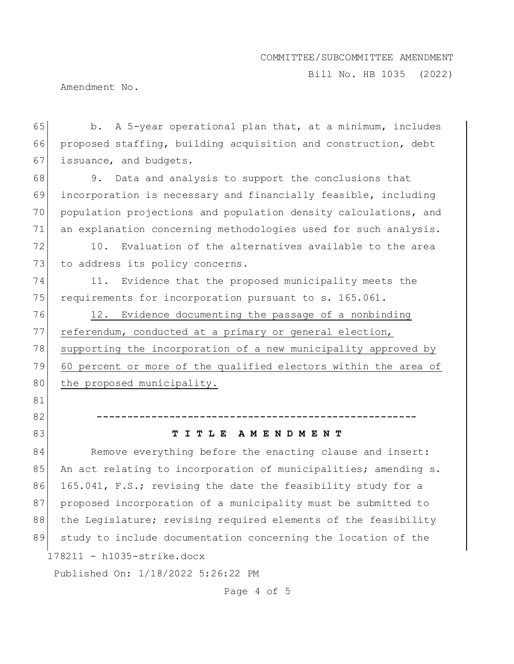Bill No. HB 1035 (2022)

Amendment No.

65 b. A 5-year operational plan that, at a minimum, includes 66 proposed staffing, building acquisition and construction, debt 67 issuance, and budgets.

 9. Data and analysis to support the conclusions that incorporation is necessary and financially feasible, including population projections and population density calculations, and an explanation concerning methodologies used for such analysis.

72 10. Evaluation of the alternatives available to the area 73 to address its policy concerns.

74 11. Evidence that the proposed municipality meets the 75 requirements for incorporation pursuant to s. 165.061.

76 12. Evidence documenting the passage of a nonbinding 77 referendum, conducted at a primary or general election, 78 supporting the incorporation of a new municipality approved by 79 60 percent or more of the qualified electors within the area of 80 the proposed municipality.

82 **-----------------------------------------------------**

81

### 83 **T I T L E A M E N D M E N T**

178211 - h1035-strike.docx 84 Remove everything before the enacting clause and insert: 85 An act relating to incorporation of municipalities; amending s. 86 165.041, F.S.; revising the date the feasibility study for a 87 proposed incorporation of a municipality must be submitted to 88 the Legislature; revising required elements of the feasibility 89 study to include documentation concerning the location of the

Published On: 1/18/2022 5:26:22 PM

Page 4 of 5